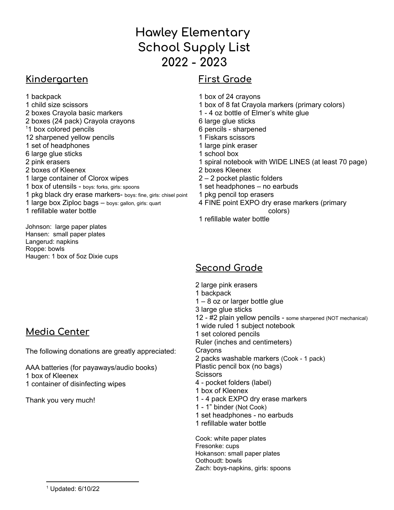# **Hawley Elementary School Supply List - 2023**

#### **Kindergarten**

#### **First Grade**

 backpack child size scissors boxes Crayola basic markers boxes (24 pack) Crayola crayons <sup>1</sup>1 box colored pencils sharpened yellow pencils set of headphones large glue sticks pink erasers boxes of Kleenex large container of Clorox wipes box of utensils - boys: forks, girls: spoons pkg black dry erase markers- boys: fine, girls: chisel point large box Ziploc bags – boys: gallon, girls: quart refillable water bottle

Johnson: large paper plates Hansen: small paper plates Langerud: napkins Roppe: bowls Haugen: 1 box of 5oz Dixie cups

# **Media Center**

The following donations are greatly appreciated:

AAA batteries (for payaways/audio books) box of Kleenex container of disinfecting wipes

Thank you very much!

- 
- box of 24 crayons
- box of 8 fat Crayola markers (primary colors)
- 4 oz bottle of Elmer's white glue
- large glue sticks
- pencils sharpened
- Fiskars scissors
- large pink eraser
- school box
- spiral notebook with WIDE LINES (at least 70 page)
- boxes Kleenex
- 2 pocket plastic folders
- set headphones no earbuds
- pkg pencil top erasers
- FINE point EXPO dry erase markers (primary
- colors) refillable water bottle
- **Second Grade**
- large pink erasers
- backpack
- 8 oz or larger bottle glue
- large glue sticks
- #2 plain yellow pencils some sharpened (NOT mechanical)
- wide ruled 1 subject notebook
- set colored pencils
- Ruler (inches and centimeters)
- **Crayons**
- packs washable markers (Cook 1 pack) Plastic pencil box (no bags)
- **Scissors**
- pocket folders (label)
- box of Kleenex
- 4 pack EXPO dry erase markers
- 1" binder (Not Cook)
- set headphones no earbuds
- refillable water bottle

Cook: white paper plates Fresonke: cups Hokanson: small paper plates Oothoudt: bowls Zach: boys-napkins, girls: spoons